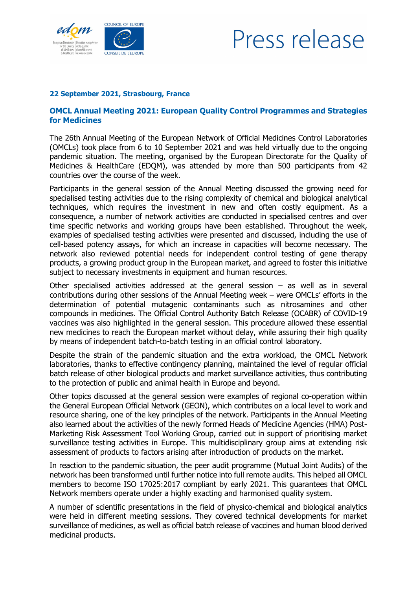

## Press release

## **22 September 2021, Strasbourg, France**

## **OMCL Annual Meeting 2021: European Quality Control Programmes and Strategies for Medicines**

The 26th Annual Meeting of the European Network of Official Medicines Control Laboratories (OMCLs) took place from 6 to 10 September 2021 and was held virtually due to the ongoing pandemic situation. The meeting, organised by the European Directorate for the Quality of Medicines & HealthCare (EDQM), was attended by more than 500 participants from 42 countries over the course of the week.

Participants in the general session of the Annual Meeting discussed the growing need for specialised testing activities due to the rising complexity of chemical and biological analytical techniques, which requires the investment in new and often costly equipment. As a consequence, a number of network activities are conducted in specialised centres and over time specific networks and working groups have been established. Throughout the week, examples of specialised testing activities were presented and discussed, including the use of cell-based potency assays, for which an increase in capacities will become necessary. The network also reviewed potential needs for independent control testing of gene therapy products, a growing product group in the European market, and agreed to foster this initiative subject to necessary investments in equipment and human resources.

Other specialised activities addressed at the general session  $-$  as well as in several contributions during other sessions of the Annual Meeting week – were OMCLs' efforts in the determination of potential mutagenic contaminants such as nitrosamines and other compounds in medicines. The Official Control Authority Batch Release (OCABR) of COVID-19 vaccines was also highlighted in the general session. This procedure allowed these essential new medicines to reach the European market without delay, while assuring their high quality by means of independent batch-to-batch testing in an official control laboratory.

Despite the strain of the pandemic situation and the extra workload, the OMCL Network laboratories, thanks to effective contingency planning, maintained the level of regular official batch release of other biological products and market surveillance activities, thus contributing to the protection of public and animal health in Europe and beyond.

Other topics discussed at the general session were examples of regional co-operation within the General European Official Network (GEON), which contributes on a local level to work and resource sharing, one of the key principles of the network. Participants in the Annual Meeting also learned about the activities of the newly formed Heads of Medicine Agencies (HMA) Post-Marketing Risk Assessment Tool Working Group, carried out in support of prioritising market surveillance testing activities in Europe. This multidisciplinary group aims at extending risk assessment of products to factors arising after introduction of products on the market.

In reaction to the pandemic situation, the peer audit programme (Mutual Joint Audits) of the network has been transformed until further notice into full remote audits. This helped all OMCL members to become ISO 17025:2017 compliant by early 2021. This guarantees that OMCL Network members operate under a highly exacting and harmonised quality system.

A number of scientific presentations in the field of physico-chemical and biological analytics were held in different meeting sessions. They covered technical developments for market surveillance of medicines, as well as official batch release of vaccines and human blood derived medicinal products.